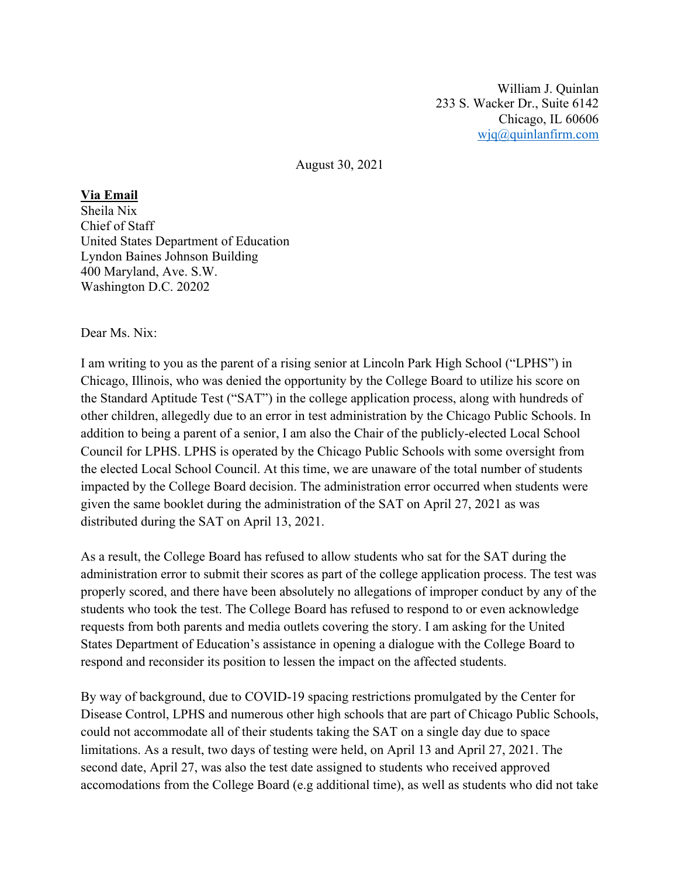William J. Quinlan 233 S. Wacker Dr., Suite 6142 Chicago, IL 60606 wjq@quinlanfirm.com

August 30, 2021

## **Via Email**

Sheila Nix Chief of Staff United States Department of Education Lyndon Baines Johnson Building 400 Maryland, Ave. S.W. Washington D.C. 20202

## Dear Ms. Nix:

I am writing to you as the parent of a rising senior at Lincoln Park High School ("LPHS") in Chicago, Illinois, who was denied the opportunity by the College Board to utilize his score on the Standard Aptitude Test ("SAT") in the college application process, along with hundreds of other children, allegedly due to an error in test administration by the Chicago Public Schools. In addition to being a parent of a senior, I am also the Chair of the publicly-elected Local School Council for LPHS. LPHS is operated by the Chicago Public Schools with some oversight from the elected Local School Council. At this time, we are unaware of the total number of students impacted by the College Board decision. The administration error occurred when students were given the same booklet during the administration of the SAT on April 27, 2021 as was distributed during the SAT on April 13, 2021.

As a result, the College Board has refused to allow students who sat for the SAT during the administration error to submit their scores as part of the college application process. The test was properly scored, and there have been absolutely no allegations of improper conduct by any of the students who took the test. The College Board has refused to respond to or even acknowledge requests from both parents and media outlets covering the story. I am asking for the United States Department of Education's assistance in opening a dialogue with the College Board to respond and reconsider its position to lessen the impact on the affected students.

By way of background, due to COVID-19 spacing restrictions promulgated by the Center for Disease Control, LPHS and numerous other high schools that are part of Chicago Public Schools, could not accommodate all of their students taking the SAT on a single day due to space limitations. As a result, two days of testing were held, on April 13 and April 27, 2021. The second date, April 27, was also the test date assigned to students who received approved accomodations from the College Board (e.g additional time), as well as students who did not take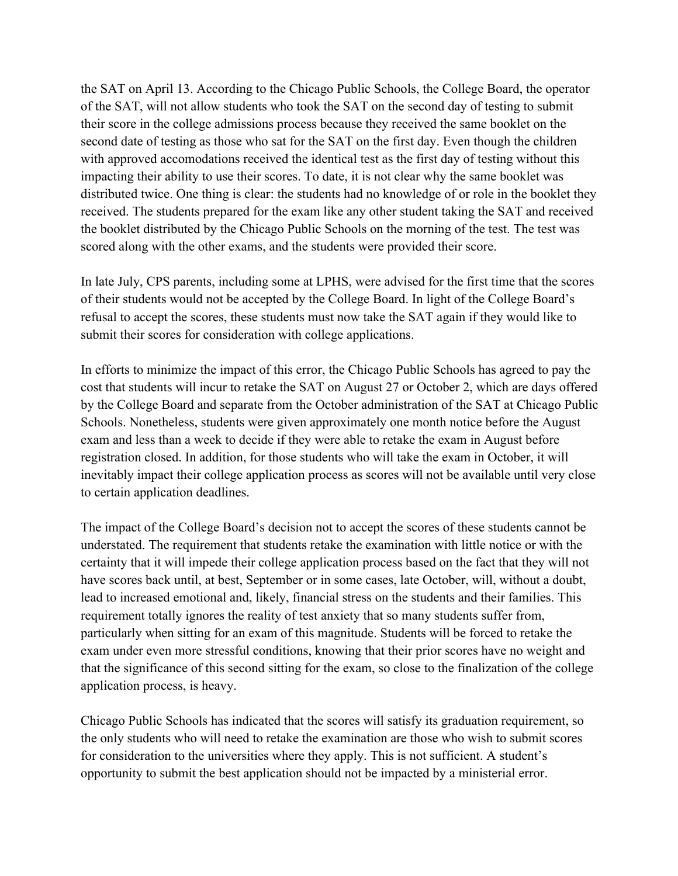the SAT on April 13. According to the Chicago Public Schools, the College Board, the operator of the SAT, will not allow students who took the SAT on the second day of testing to submit their score in the college admissions process because they received the same booklet on the second date of testing as those who sat for the SAT on the first day. Even though the children with approved accomodations received the identical test as the first day of testing without this impacting their ability to use their scores. To date, it is not clear why the same booklet was distributed twice. One thing is clear: the students had no knowledge of or role in the booklet they received. The students prepared for the exam like any other student taking the SAT and received the booklet distributed by the Chicago Public Schools on the morning of the test. The test was scored along with the other exams, and the students were provided their score.

In late July, CPS parents, including some at LPHS, were advised for the first time that the scores of their students would not be accepted by the College Board. In light of the College Board's refusal to accept the scores, these students must now take the SAT again if they would like to submit their scores for consideration with college applications.

In efforts to minimize the impact of this error, the Chicago Public Schools has agreed to pay the cost that students will incur to retake the SAT on August 27 or October 2, which are days offered by the College Board and separate from the October administration of the SAT at Chicago Public Schools. Nonetheless, students were given approximately one month notice before the August exam and less than a week to decide if they were able to retake the exam in August before registration closed. In addition, for those students who will take the exam in October, it will inevitably impact their college application process as scores will not be available until very close to certain application deadlines.

The impact of the College Board's decision not to accept the scores of these students cannot be understated. The requirement that students retake the examination with little notice or with the certainty that it will impede their college application process based on the fact that they will not have scores back until, at best, September or in some cases, late October, will, without a doubt, lead to increased emotional and, likely, financial stress on the students and their families. This requirement totally ignores the reality of test anxiety that so many students suffer from, particularly when sitting for an exam of this magnitude. Students will be forced to retake the exam under even more stressful conditions, knowing that their prior scores have no weight and that the significance of this second sitting for the exam, so close to the finalization of the college application process, is heavy.

Chicago Public Schools has indicated that the scores will satisfy its graduation requirement, so the only students who will need to retake the examination are those who wish to submit scores for consideration to the universities where they apply. This is not sufficient. A student's opportunity to submit the best application should not be impacted by a ministerial error.